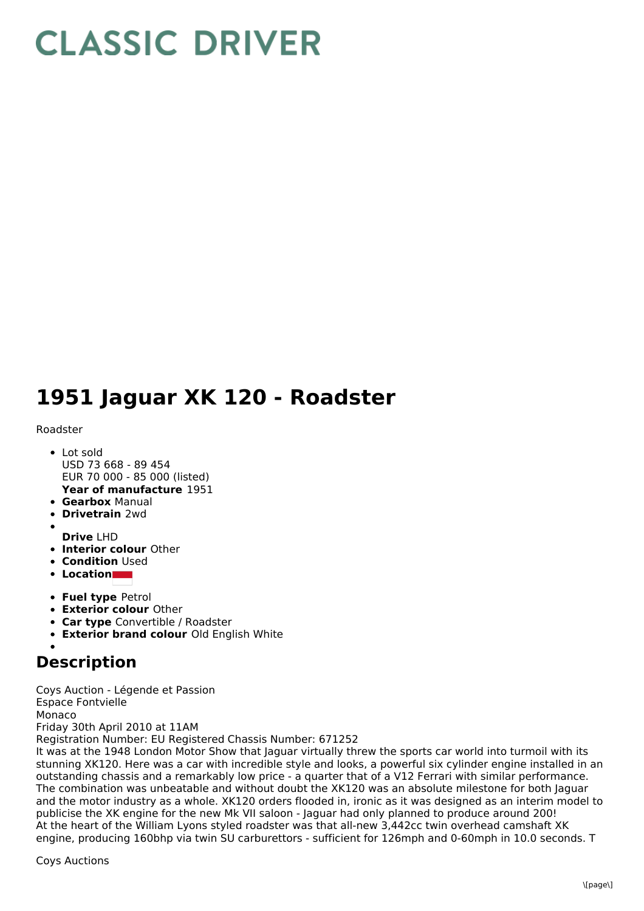## **CLASSIC DRIVER**

## **1951 Jaguar XK 120 - Roadster**

## Roadster

- **Year of manufacture** 1951 Lot sold USD 73 668 - 89 454 EUR 70 000 - 85 000 (listed)
- **Gearbox** Manual
- **Drivetrain** 2wd
- 
- **Drive** LHD
- **Interior colour** Other **• Condition Used**
- **Location**
- **Fuel type** Petrol
- **Exterior colour** Other
- **Car type** Convertible / Roadster
- **Exterior brand colour** Old English White

## **Description**

Coys Auction - Légende et Passion Espace Fontvielle Monaco Friday 30th April 2010 at 11AM Registration Number: EU Registered Chassis Number: 671252

It was at the 1948 London Motor Show that Jaguar virtually threw the sports car world into turmoil with its stunning XK120. Here was a car with incredible style and looks, a powerful six cylinder engine installed in an outstanding chassis and a remarkably low price - a quarter that of a V12 Ferrari with similar performance. The combination was unbeatable and without doubt the XK120 was an absolute milestone for both Jaguar and the motor industry as a whole. XK120 orders flooded in, ironic as it was designed as an interim model to publicise the XK engine for the new Mk VII saloon - Jaguar had only planned to produce around 200! At the heart of the William Lyons styled roadster was that all-new 3,442cc twin overhead camshaft XK engine, producing 160bhp via twin SU carburettors - sufficient for 126mph and 0-60mph in 10.0 seconds. T

Coys Auctions